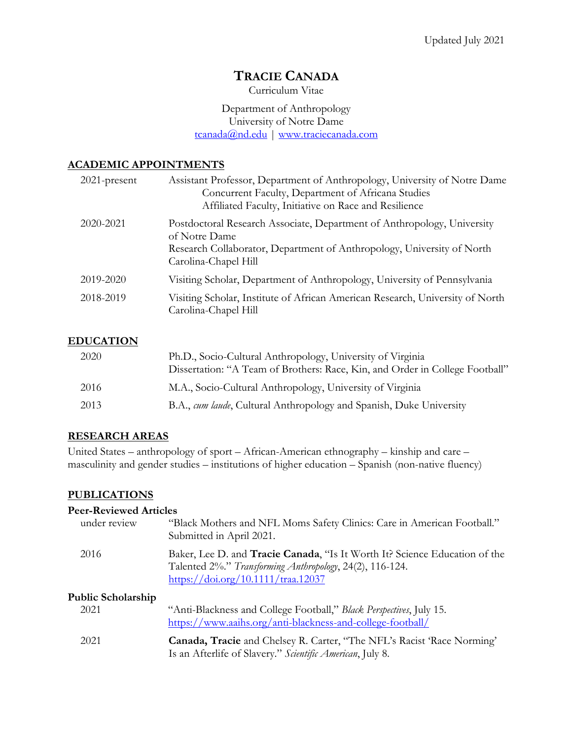Curriculum Vitae

Department of Anthropology University of Notre Dame tcanada@nd.edu | www.traciecanada.com

### **ACADEMIC APPOINTMENTS**

| $2021$ -present | Assistant Professor, Department of Anthropology, University of Notre Dame<br>Concurrent Faculty, Department of Africana Studies<br>Affiliated Faculty, Initiative on Race and Resilience   |
|-----------------|--------------------------------------------------------------------------------------------------------------------------------------------------------------------------------------------|
| 2020-2021       | Postdoctoral Research Associate, Department of Anthropology, University<br>of Notre Dame<br>Research Collaborator, Department of Anthropology, University of North<br>Carolina-Chapel Hill |
| 2019-2020       | Visiting Scholar, Department of Anthropology, University of Pennsylvania                                                                                                                   |
| 2018-2019       | Visiting Scholar, Institute of African American Research, University of North<br>Carolina-Chapel Hill                                                                                      |

#### **EDUCATION**

| 2020 | Ph.D., Socio-Cultural Anthropology, University of Virginia<br>Dissertation: "A Team of Brothers: Race, Kin, and Order in College Football" |
|------|--------------------------------------------------------------------------------------------------------------------------------------------|
| 2016 | M.A., Socio-Cultural Anthropology, University of Virginia                                                                                  |
| 2013 | B.A., cum laude, Cultural Anthropology and Spanish, Duke University                                                                        |

### **RESEARCH AREAS**

United States – anthropology of sport – African-American ethnography – kinship and care – masculinity and gender studies – institutions of higher education – Spanish (non-native fluency)

### **PUBLICATIONS**

#### **Peer-Reviewed Articles**

| under review       | "Black Mothers and NFL Moms Safety Clinics: Care in American Football."<br>Submitted in April 2021.                                                                                  |
|--------------------|--------------------------------------------------------------------------------------------------------------------------------------------------------------------------------------|
| 2016               | Baker, Lee D. and <b>Tracie Canada</b> , "Is It Worth It? Science Education of the<br>Talented 2%." Transforming Anthropology, 24(2), 116-124.<br>https://doi.org/10.1111/traa.12037 |
| Public Scholarship |                                                                                                                                                                                      |
| 2021               | "Anti-Blackness and College Football," Black Perspectives, July 15.<br>https://www.aaihs.org/anti-blackness-and-college-football/                                                    |
| 2021               | Canada, Tracie and Chelsey R. Carter, "The NFL's Racist 'Race Norming'<br>Is an Afterlife of Slavery." Scientific American, July 8.                                                  |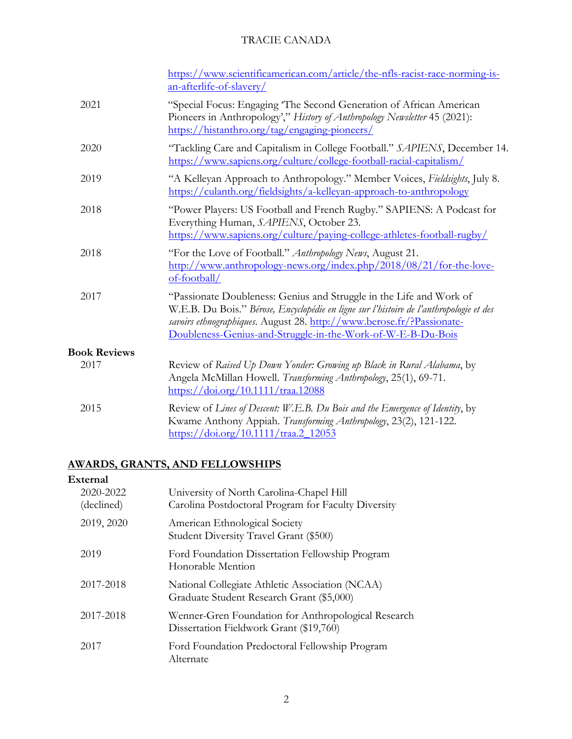|                          | https://www.scientificamerican.com/article/the-nfls-racist-race-norming-is- |
|--------------------------|-----------------------------------------------------------------------------|
| an-afterlife-of-slavery/ |                                                                             |

| 2021                | "Special Focus: Engaging 'The Second Generation of African American<br>Pioneers in Anthropology'," History of Anthropology Newsletter 45 (2021):<br>https://histanthro.org/tag/engaging-pioneers/                                                                                                      |
|---------------------|--------------------------------------------------------------------------------------------------------------------------------------------------------------------------------------------------------------------------------------------------------------------------------------------------------|
| 2020                | "Tackling Care and Capitalism in College Football." SAPIENS, December 14.<br>https://www.sapiens.org/culture/college-football-racial-capitalism/                                                                                                                                                       |
| 2019                | "A Kelleyan Approach to Anthropology." Member Voices, Fieldsights, July 8.<br>https://culanth.org/fieldsights/a-kelleyan-approach-to-anthropology                                                                                                                                                      |
| 2018                | "Power Players: US Football and French Rugby." SAPIENS: A Podcast for<br>Everything Human, SAPIENS, October 23.<br>https://www.sapiens.org/culture/paying-college-athletes-football-rugby/                                                                                                             |
| 2018                | "For the Love of Football." Anthropology News, August 21.<br>http://www.anthropology-news.org/index.php/2018/08/21/for-the-love-<br>$of$ -football/                                                                                                                                                    |
| 2017                | "Passionate Doubleness: Genius and Struggle in the Life and Work of<br>W.E.B. Du Bois." Bérose, Encyclopédie en ligne sur l'histoire de l'anthropologie et des<br>savoirs ethnographiques. August 28. http://www.berose.fr/?Passionate-<br>Doubleness-Genius-and-Struggle-in-the-Work-of-W-E-B-Du-Bois |
| <b>Book Reviews</b> |                                                                                                                                                                                                                                                                                                        |
| 2017                | Review of Raised Up Down Yonder: Growing up Black in Rural Alabama, by<br>Angela McMillan Howell. Transforming Anthropology, 25(1), 69-71.<br>https://doi.org/10.1111/traa.12088                                                                                                                       |
| 2015                | Review of Lines of Descent: W.E.B. Du Bois and the Emergence of Identity, by<br>Kwame Anthony Appiah. Transforming Anthropology, 23(2), 121-122.<br>https://doi.org/10.1111/traa.2 12053                                                                                                               |

#### **AWARDS, GRANTS, AND FELLOWSHIPS**

# **External** 2020-2022 University of North Carolina-Chapel Hill (declined) Carolina Postdoctoral Program for Faculty Diversity 2019, 2020 American Ethnological Society Student Diversity Travel Grant (\$500) 2019 Ford Foundation Dissertation Fellowship Program Honorable Mention 2017-2018 National Collegiate Athletic Association (NCAA) Graduate Student Research Grant (\$5,000) 2017-2018 Wenner-Gren Foundation for Anthropological Research Dissertation Fieldwork Grant (\$19,760) 2017 Ford Foundation Predoctoral Fellowship Program Alternate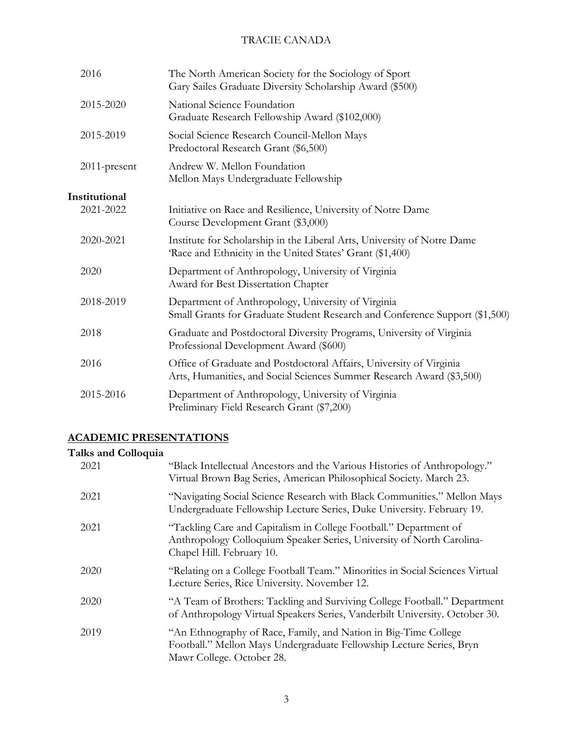| 2016          | The North American Society for the Sociology of Sport<br>Gary Sailes Graduate Diversity Scholarship Award (\$500)                            |
|---------------|----------------------------------------------------------------------------------------------------------------------------------------------|
| 2015-2020     | National Science Foundation<br>Graduate Research Fellowship Award (\$102,000)                                                                |
| 2015-2019     | Social Science Research Council-Mellon Mays<br>Predoctoral Research Grant (\$6,500)                                                          |
| 2011-present  | Andrew W. Mellon Foundation<br>Mellon Mays Undergraduate Fellowship                                                                          |
| Institutional |                                                                                                                                              |
| 2021-2022     | Initiative on Race and Resilience, University of Notre Dame<br>Course Development Grant (\$3,000)                                            |
| 2020-2021     | Institute for Scholarship in the Liberal Arts, University of Notre Dame<br>'Race and Ethnicity in the United States' Grant (\$1,400)         |
| 2020          | Department of Anthropology, University of Virginia<br>Award for Best Dissertation Chapter                                                    |
| 2018-2019     | Department of Anthropology, University of Virginia<br>Small Grants for Graduate Student Research and Conference Support (\$1,500)            |
| 2018          | Graduate and Postdoctoral Diversity Programs, University of Virginia<br>Professional Development Award (\$600)                               |
| 2016          | Office of Graduate and Postdoctoral Affairs, University of Virginia<br>Arts, Humanities, and Social Sciences Summer Research Award (\$3,500) |
| 2015-2016     | Department of Anthropology, University of Virginia<br>Preliminary Field Research Grant (\$7,200)                                             |
|               |                                                                                                                                              |

# **ACADEMIC PRESENTATIONS**

### **Talks and Colloquia**

| 2021 | "Black Intellectual Ancestors and the Various Histories of Anthropology."<br>Virtual Brown Bag Series, American Philosophical Society. March 23.                        |
|------|-------------------------------------------------------------------------------------------------------------------------------------------------------------------------|
| 2021 | "Navigating Social Science Research with Black Communities." Mellon Mays<br>Undergraduate Fellowship Lecture Series, Duke University. February 19.                      |
| 2021 | "Tackling Care and Capitalism in College Football." Department of<br>Anthropology Colloquium Speaker Series, University of North Carolina-<br>Chapel Hill. February 10. |
| 2020 | "Relating on a College Football Team." Minorities in Social Sciences Virtual<br>Lecture Series, Rice University. November 12.                                           |
| 2020 | "A Team of Brothers: Tackling and Surviving College Football." Department<br>of Anthropology Virtual Speakers Series, Vanderbilt University. October 30.                |
| 2019 | "An Ethnography of Race, Family, and Nation in Big-Time College<br>Football." Mellon Mays Undergraduate Fellowship Lecture Series, Bryn<br>Mawr College. October 28.    |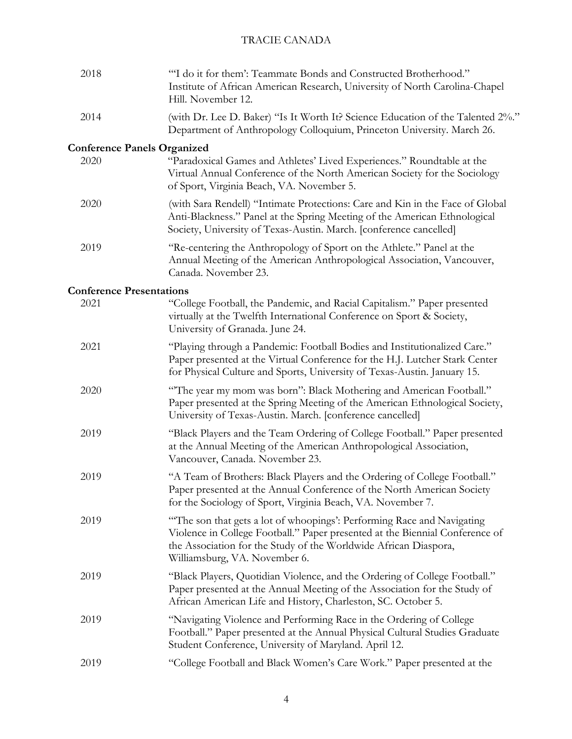| 2018                                       | "I do it for them': Teammate Bonds and Constructed Brotherhood."<br>Institute of African American Research, University of North Carolina-Chapel<br>Hill. November 12.                                                                                       |
|--------------------------------------------|-------------------------------------------------------------------------------------------------------------------------------------------------------------------------------------------------------------------------------------------------------------|
| 2014                                       | (with Dr. Lee D. Baker) "Is It Worth It? Science Education of the Talented 2%."<br>Department of Anthropology Colloquium, Princeton University. March 26.                                                                                                   |
| <b>Conference Panels Organized</b><br>2020 | "Paradoxical Games and Athletes' Lived Experiences." Roundtable at the<br>Virtual Annual Conference of the North American Society for the Sociology<br>of Sport, Virginia Beach, VA. November 5.                                                            |
| 2020                                       | (with Sara Rendell) "Intimate Protections: Care and Kin in the Face of Global<br>Anti-Blackness." Panel at the Spring Meeting of the American Ethnological<br>Society, University of Texas-Austin. March. [conference cancelled]                            |
| 2019                                       | "Re-centering the Anthropology of Sport on the Athlete." Panel at the<br>Annual Meeting of the American Anthropological Association, Vancouver,<br>Canada. November 23.                                                                                     |
| <b>Conference Presentations</b>            |                                                                                                                                                                                                                                                             |
| 2021                                       | "College Football, the Pandemic, and Racial Capitalism." Paper presented<br>virtually at the Twelfth International Conference on Sport & Society,<br>University of Granada. June 24.                                                                        |
| 2021                                       | "Playing through a Pandemic: Football Bodies and Institutionalized Care."<br>Paper presented at the Virtual Conference for the H.J. Lutcher Stark Center<br>for Physical Culture and Sports, University of Texas-Austin. January 15.                        |
| 2020                                       | "The year my mom was born": Black Mothering and American Football."<br>Paper presented at the Spring Meeting of the American Ethnological Society,<br>University of Texas-Austin. March. [conference cancelled]                                             |
| 2019                                       | "Black Players and the Team Ordering of College Football." Paper presented<br>at the Annual Meeting of the American Anthropological Association,<br>Vancouver, Canada. November 23.                                                                         |
| 2019                                       | "A Team of Brothers: Black Players and the Ordering of College Football."<br>Paper presented at the Annual Conference of the North American Society<br>for the Sociology of Sport, Virginia Beach, VA. November 7.                                          |
| 2019                                       | "The son that gets a lot of whoopings': Performing Race and Navigating<br>Violence in College Football." Paper presented at the Biennial Conference of<br>the Association for the Study of the Worldwide African Diaspora,<br>Williamsburg, VA. November 6. |
| 2019                                       | "Black Players, Quotidian Violence, and the Ordering of College Football."<br>Paper presented at the Annual Meeting of the Association for the Study of<br>African American Life and History, Charleston, SC. October 5.                                    |
| 2019                                       | "Navigating Violence and Performing Race in the Ordering of College<br>Football." Paper presented at the Annual Physical Cultural Studies Graduate<br>Student Conference, University of Maryland. April 12.                                                 |
| 2019                                       | "College Football and Black Women's Care Work." Paper presented at the                                                                                                                                                                                      |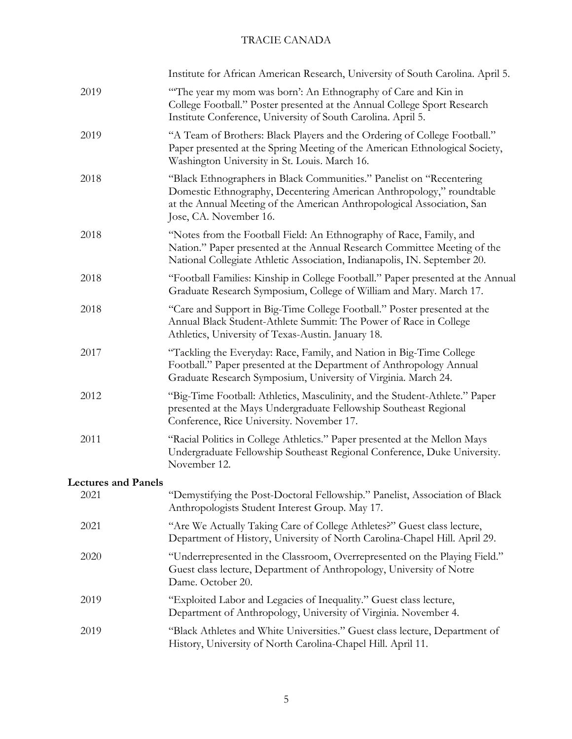|                            | Institute for African American Research, University of South Carolina. April 5.                                                                                                                                                                  |
|----------------------------|--------------------------------------------------------------------------------------------------------------------------------------------------------------------------------------------------------------------------------------------------|
| 2019                       | "The year my mom was born': An Ethnography of Care and Kin in<br>College Football." Poster presented at the Annual College Sport Research<br>Institute Conference, University of South Carolina. April 5.                                        |
| 2019                       | "A Team of Brothers: Black Players and the Ordering of College Football."<br>Paper presented at the Spring Meeting of the American Ethnological Society,<br>Washington University in St. Louis. March 16.                                        |
| 2018                       | "Black Ethnographers in Black Communities." Panelist on "Recentering<br>Domestic Ethnography, Decentering American Anthropology," roundtable<br>at the Annual Meeting of the American Anthropological Association, San<br>Jose, CA. November 16. |
| 2018                       | "Notes from the Football Field: An Ethnography of Race, Family, and<br>Nation." Paper presented at the Annual Research Committee Meeting of the<br>National Collegiate Athletic Association, Indianapolis, IN. September 20.                     |
| 2018                       | "Football Families: Kinship in College Football." Paper presented at the Annual<br>Graduate Research Symposium, College of William and Mary. March 17.                                                                                           |
| 2018                       | "Care and Support in Big-Time College Football." Poster presented at the<br>Annual Black Student-Athlete Summit: The Power of Race in College<br>Athletics, University of Texas-Austin. January 18.                                              |
| 2017                       | "Tackling the Everyday: Race, Family, and Nation in Big-Time College<br>Football." Paper presented at the Department of Anthropology Annual<br>Graduate Research Symposium, University of Virginia. March 24.                                    |
| 2012                       | "Big-Time Football: Athletics, Masculinity, and the Student-Athlete." Paper<br>presented at the Mays Undergraduate Fellowship Southeast Regional<br>Conference, Rice University. November 17.                                                    |
| 2011                       | "Racial Politics in College Athletics." Paper presented at the Mellon Mays<br>Undergraduate Fellowship Southeast Regional Conference, Duke University.<br>November 12.                                                                           |
| <b>Lectures and Panels</b> |                                                                                                                                                                                                                                                  |
| 2021                       | "Demystifying the Post-Doctoral Fellowship." Panelist, Association of Black<br>Anthropologists Student Interest Group. May 17.                                                                                                                   |
| 2021                       | "Are We Actually Taking Care of College Athletes?" Guest class lecture,<br>Department of History, University of North Carolina-Chapel Hill. April 29.                                                                                            |
| 2020                       | "Underrepresented in the Classroom, Overrepresented on the Playing Field."<br>Guest class lecture, Department of Anthropology, University of Notre<br>Dame. October 20.                                                                          |
| 2019                       | "Exploited Labor and Legacies of Inequality." Guest class lecture,<br>Department of Anthropology, University of Virginia. November 4.                                                                                                            |
| 2019                       | "Black Athletes and White Universities." Guest class lecture, Department of<br>History, University of North Carolina-Chapel Hill. April 11.                                                                                                      |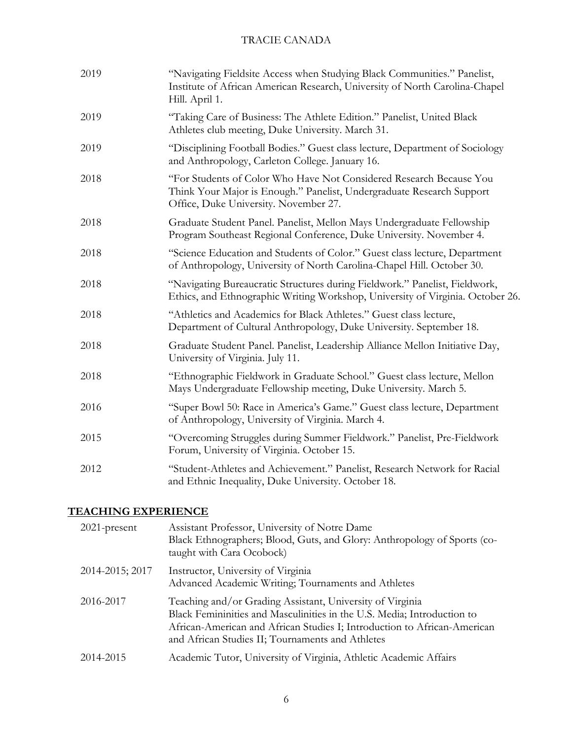| 2019 | "Navigating Fieldsite Access when Studying Black Communities." Panelist,<br>Institute of African American Research, University of North Carolina-Chapel<br>Hill. April 1.             |
|------|---------------------------------------------------------------------------------------------------------------------------------------------------------------------------------------|
| 2019 | "Taking Care of Business: The Athlete Edition." Panelist, United Black<br>Athletes club meeting, Duke University. March 31.                                                           |
| 2019 | "Disciplining Football Bodies." Guest class lecture, Department of Sociology<br>and Anthropology, Carleton College. January 16.                                                       |
| 2018 | "For Students of Color Who Have Not Considered Research Because You<br>Think Your Major is Enough." Panelist, Undergraduate Research Support<br>Office, Duke University. November 27. |
| 2018 | Graduate Student Panel. Panelist, Mellon Mays Undergraduate Fellowship<br>Program Southeast Regional Conference, Duke University. November 4.                                         |
| 2018 | "Science Education and Students of Color." Guest class lecture, Department<br>of Anthropology, University of North Carolina-Chapel Hill. October 30.                                  |
| 2018 | "Navigating Bureaucratic Structures during Fieldwork." Panelist, Fieldwork,<br>Ethics, and Ethnographic Writing Workshop, University of Virginia. October 26.                         |
| 2018 | "Athletics and Academics for Black Athletes." Guest class lecture,<br>Department of Cultural Anthropology, Duke University. September 18.                                             |
| 2018 | Graduate Student Panel. Panelist, Leadership Alliance Mellon Initiative Day,<br>University of Virginia. July 11.                                                                      |
| 2018 | "Ethnographic Fieldwork in Graduate School." Guest class lecture, Mellon<br>Mays Undergraduate Fellowship meeting, Duke University. March 5.                                          |
| 2016 | "Super Bowl 50: Race in America's Game." Guest class lecture, Department<br>of Anthropology, University of Virginia. March 4.                                                         |
| 2015 | "Overcoming Struggles during Summer Fieldwork." Panelist, Pre-Fieldwork<br>Forum, University of Virginia. October 15.                                                                 |
| 2012 | "Student-Athletes and Achievement." Panelist, Research Network for Racial<br>and Ethnic Inequality, Duke University. October 18.                                                      |

# **TEACHING EXPERIENCE**

| $2021$ -present | Assistant Professor, University of Notre Dame<br>Black Ethnographers; Blood, Guts, and Glory: Anthropology of Sports (co-<br>taught with Cara Ocobock)                                                                                                               |
|-----------------|----------------------------------------------------------------------------------------------------------------------------------------------------------------------------------------------------------------------------------------------------------------------|
| 2014-2015; 2017 | Instructor, University of Virginia<br>Advanced Academic Writing; Tournaments and Athletes                                                                                                                                                                            |
| 2016-2017       | Teaching and/or Grading Assistant, University of Virginia<br>Black Femininities and Masculinities in the U.S. Media; Introduction to<br>African-American and African Studies I; Introduction to African-American<br>and African Studies II; Tournaments and Athletes |
| 2014-2015       | Academic Tutor, University of Virginia, Athletic Academic Affairs                                                                                                                                                                                                    |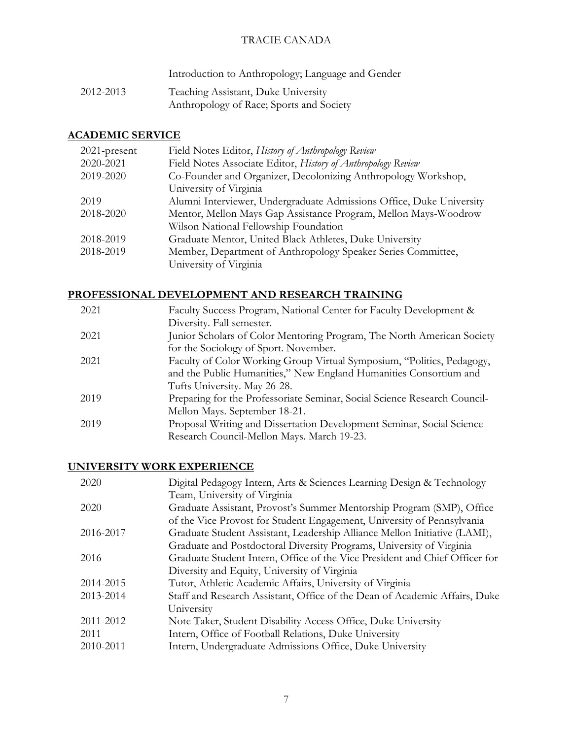Introduction to Anthropology; Language and Gender

2012-2013 Teaching Assistant, Duke University Anthropology of Race; Sports and Society

# **ACADEMIC SERVICE**

| $2021$ -present | Field Notes Editor, History of Anthropology Review                   |
|-----------------|----------------------------------------------------------------------|
| 2020-2021       | Field Notes Associate Editor, History of Anthropology Review         |
| 2019-2020       | Co-Founder and Organizer, Decolonizing Anthropology Workshop,        |
|                 | University of Virginia                                               |
| 2019            | Alumni Interviewer, Undergraduate Admissions Office, Duke University |
| 2018-2020       | Mentor, Mellon Mays Gap Assistance Program, Mellon Mays-Woodrow      |
|                 | Wilson National Fellowship Foundation                                |
| 2018-2019       | Graduate Mentor, United Black Athletes, Duke University              |
| 2018-2019       | Member, Department of Anthropology Speaker Series Committee,         |
|                 | University of Virginia                                               |

# **PROFESSIONAL DEVELOPMENT AND RESEARCH TRAINING**

| 2021 | Faculty Success Program, National Center for Faculty Development &        |
|------|---------------------------------------------------------------------------|
|      | Diversity. Fall semester.                                                 |
| 2021 | Junior Scholars of Color Mentoring Program, The North American Society    |
|      | for the Sociology of Sport. November.                                     |
| 2021 | Faculty of Color Working Group Virtual Symposium, "Politics, Pedagogy,    |
|      | and the Public Humanities," New England Humanities Consortium and         |
|      | Tufts University. May 26-28.                                              |
| 2019 | Preparing for the Professoriate Seminar, Social Science Research Council- |
|      | Mellon Mays. September 18-21.                                             |
| 2019 | Proposal Writing and Dissertation Development Seminar, Social Science     |
|      | Research Council-Mellon Mays. March 19-23.                                |

### **UNIVERSITY WORK EXPERIENCE**

| Digital Pedagogy Intern, Arts & Sciences Learning Design & Technology       |
|-----------------------------------------------------------------------------|
| Team, University of Virginia                                                |
| Graduate Assistant, Provost's Summer Mentorship Program (SMP), Office       |
| of the Vice Provost for Student Engagement, University of Pennsylvania      |
| Graduate Student Assistant, Leadership Alliance Mellon Initiative (LAMI),   |
| Graduate and Postdoctoral Diversity Programs, University of Virginia        |
| Graduate Student Intern, Office of the Vice President and Chief Officer for |
| Diversity and Equity, University of Virginia                                |
| Tutor, Athletic Academic Affairs, University of Virginia                    |
| Staff and Research Assistant, Office of the Dean of Academic Affairs, Duke  |
| University                                                                  |
| Note Taker, Student Disability Access Office, Duke University               |
| Intern, Office of Football Relations, Duke University                       |
| Intern, Undergraduate Admissions Office, Duke University                    |
|                                                                             |